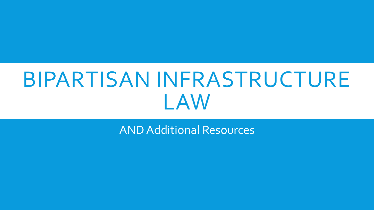# BIPARTISAN INFRASTRUCTURE LAW

AND Additional Resources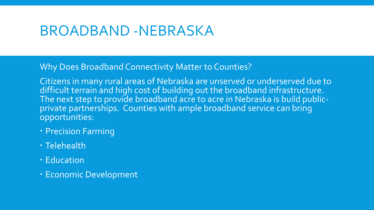Why Does Broadband Connectivity Matter to Counties?

Citizens in many rural areas of Nebraska are unserved or underserved due to difficult terrain and high cost of building out the broadband infrastructure. The next step to provide broadband acre to acre in Nebraska is build publicprivate partnerships. Counties with ample broadband service can bring opportunities:

- **Precision Farming**
- Telehealth
- Education
- Economic Development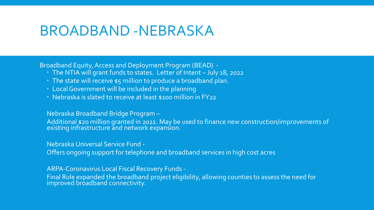Broadband Equity, Access and Deployment Program (BEAD) -

- The NTIA will grant funds to states. Letter of Intent July 18, 2022
- The state will receive \$5 million to produce a broadband plan.
- Local Government will be included in the planning
- Nebraska is slated to receive at least \$100 million in FY22

Nebraska Broadband Bridge Program –

Additional \$20 million granted in 2022. May be used to finance new construction/improvements of existing infrastructure and network expansion.

Nebraska Universal Service Fund -

Offers ongoing support for telephone and broadband services in high cost acres

ARPA-Coronavirus Local Fiscal Recovery Funds -

Final Rule expanded the broadband project eligibility, allowing counties to assess the need for improved broadband connectivity.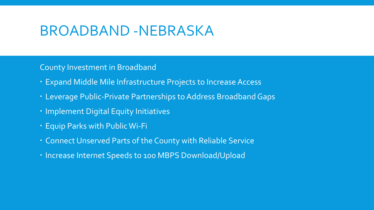County Investment in Broadband

- Expand Middle Mile Infrastructure Projects to Increase Access
- Leverage Public-Private Partnerships to Address Broadband Gaps
- · Implement Digital Equity Initiatives
- Equip Parks with Public Wi-Fi
- Connect Unserved Parts of the County with Reliable Service
- $\cdot$  Increase Internet Speeds to 100 MBPS Download/Upload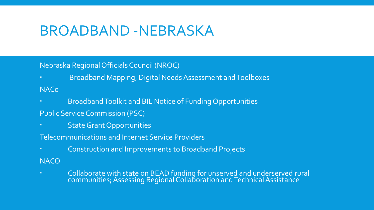#### Nebraska Regional Officials Council (NROC)

- Broadband Mapping, Digital Needs Assessment and Toolboxes
- NACo
- Broadband Toolkit and BIL Notice of Funding Opportunities
- Public Service Commission (PSC)
- State Grant Opportunities
- Telecommunications and Internet Service Providers
- Construction and Improvements to Broadband Projects
- **NACO**
- Collaborate with state on BEAD funding for unserved and underserved rural communities; Assessing Regional Collaboration and Technical Assistance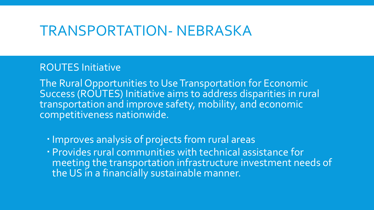#### ROUTES Initiative

The Rural Opportunities to Use Transportation for Economic Success (ROUTES) Initiative aims to address disparities in rural transportation and improve safety, mobility, and economic competitiveness nationwide.

- Improves analysis of projects from rural areas
- Provides rural communities with technical assistance for meeting the transportation infrastructure investment needs of the US in a financially sustainable manner.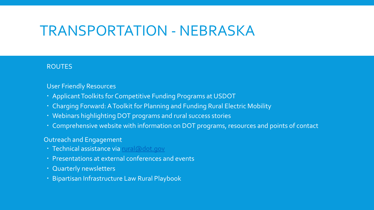#### ROUTES

#### User Friendly Resources

- Applicant Toolkits for Competitive Funding Programs at USDOT
- Charging Forward: A Toolkit for Planning and Funding Rural Electric Mobility
- Webinars highlighting DOT programs and rural success stories
- Comprehensive website with information on DOT programs, resources and points of contact

#### Outreach and Engagement

- · Technical assistance via [rural@dot.gov](mailto:rural@dot.gov)
- Presentations at external conferences and events
- Quarterly newsletters
- Bipartisan Infrastructure Law Rural Playbook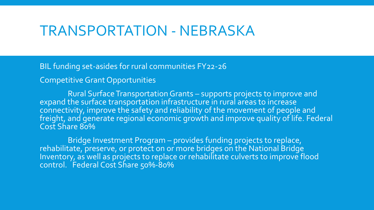BIL funding set-asides for rural communities FY22-26

Competitive Grant Opportunities

Rural Surface Transportation Grants – supports projects to improve and expand the surface transportation infrastructure in rural areas to increase connectivity, improve the safety and reliability of the movement of people and freight, and generate regional economic growth and improve quality of life. Federal Cost Share 80%

Bridge Investment Program – provides funding projects to replace, rehabilitate, preserve, or protect on or more bridges on the National Bridge Inventory, as well as projects to replace or rehabilitate culverts to improve flood control. Federal Cost Share 50%-80%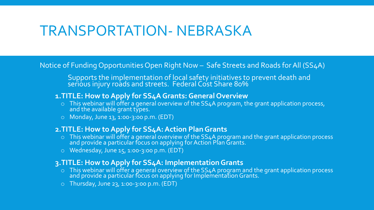Notice of Funding Opportunities Open Right Now – Safe Streets and Roads for All (SS4A)

Supports the implementation of local safety initiatives to prevent death and serious injury roads and streets. Federal Cost Share 80%  $\,$ 

#### **1.TITLE: How to Apply for SS4A Grants: General Overview**

- $\circ$  This webinar will offer a general overview of the SS4A program, the grant application process, and the available grant types.
- o Monday, June 13, 1:00-3:00 p.m. (EDT)

#### **2.TITLE: How to Apply for SS4A: Action Plan Grants**

- o This webinar will offer a general overview of the SS4A program and the grant application process and provide a particular focus on applying for Action Plan Grants.
- o Wednesday, June 15, 1:00-3:00 p.m. (EDT)

#### **3.TITLE: How to Apply for SS4A: Implementation Grants**

- o This webinar will offer a general overview of the SS4A program and the grant application process and provide a particular focus on applying for Implementation Grants.
- $\circ$  Thursday, June 23, 1:00-3:00 p.m. (EDT)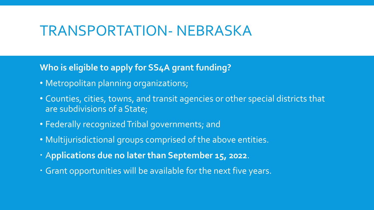#### **Who is eligible to apply for SS4A grant funding?**

- Metropolitan planning organizations;
- Counties, cities, towns, and transit agencies or other special districts that are subdivisions of a State;
- Federally recognized Tribal governments; and
- Multijurisdictional groups comprised of the above entities.
- A**pplications due no later than September 15, 2022**.
- Grant opportunities will be available for the next five years.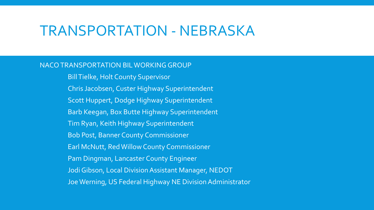#### NACO TRANSPORTATION BIL WORKING GROUP

Bill Tielke, Holt County Supervisor Chris Jacobsen, Custer Highway Superintendent Scott Huppert, Dodge Highway Superintendent Barb Keegan, Box Butte Highway Superintendent Tim Ryan, Keith Highway Superintendent Bob Post, Banner County Commissioner Earl McNutt, Red Willow County Commissioner Pam Dingman, Lancaster County Engineer Jodi Gibson, Local Division Assistant Manager, NEDOT Joe Werning, US Federal Highway NE Division Administrator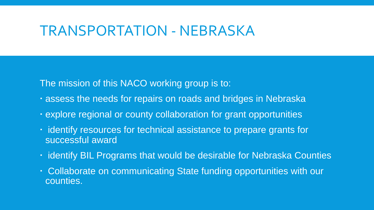The mission of this NACO working group is to:

- assess the needs for repairs on roads and bridges in Nebraska
- explore regional or county collaboration for grant opportunities
- $\cdot$  identify resources for technical assistance to prepare grants for successful award
- $\cdot$  identify BIL Programs that would be desirable for Nebraska Counties
- Collaborate on communicating State funding opportunities with our counties.